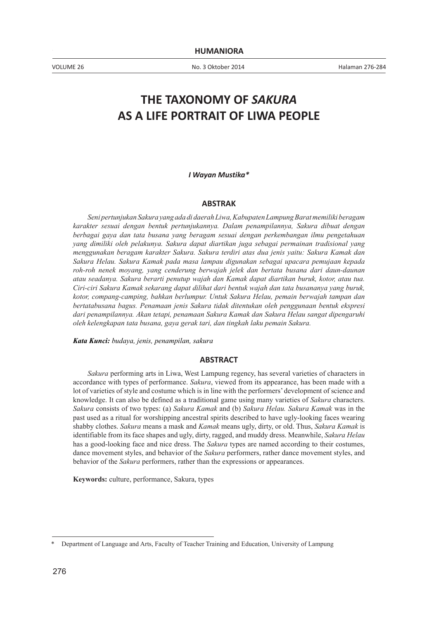VOLUME 26 No. 3 Oktober 2014 Halaman 276-284

# **THE TAXONOMY OF** *SAKURA* **AS A LIFE PORTRAIT OF LIWA PEOPLE**

*I Wayan Mustika\**

#### **ABSTRAK**

*Seni pertunjukan Sakura yang ada di daerah Liwa, Kabupaten Lampung Barat memiliki beragam karakter sesuai dengan bentuk pertunjukannya. Dalam penampilannya, Sakura dibuat dengan berbagai gaya dan tata busana yang beragam sesuai dengan perkembangan ilmu pengetahuan yang dimiliki oleh pelakunya. Sakura dapat diartikan juga sebagai permainan tradisional yang menggunakan beragam karakter Sakura. Sakura terdiri atas dua jenis yaitu: Sakura Kamak dan Sakura Helau. Sakura Kamak pada masa lampau digunakan sebagai upacara pemujaan kepada roh-roh nenek moyang, yang cenderung berwajah jelek dan bertata busana dari daun-daunan atau seadanya. Sakura berarti penutup wajah dan Kamak dapat diartikan buruk, kotor, atau tua. Ciri-ciri Sakura Kamak sekarang dapat dilihat dari bentuk wajah dan tata busananya yang buruk, kotor, compang-camping, bahkan berlumpur. Untuk Sakura Helau, pemain berwajah tampan dan bertatabusana bagus. Penamaan jenis Sakura tidak ditentukan oleh penggunaan bentuk ekspresi dari penampilannya. Akan tetapi, penamaan Sakura Kamak dan Sakura Helau sangat dipengaruhi oleh kelengkapan tata busana, gaya gerak tari, dan tingkah laku pemain Sakura.* 

*Kata Kunci: budaya, jenis, penampilan, sakura*

#### **ABSTRACT**

*Sakura* performing arts in Liwa, West Lampung regency, has several varieties of characters in accordance with types of performance. *Sakura*, viewed from its appearance, has been made with a lot of varieties of style and costume which is in line with the performers' development of science and knowledge. It can also be defined as a traditional game using many varieties of *Sakura* characters. *Sakura* consists of two types: (a) *Sakura Kamak* and (b) *Sakura Helau. Sakura Kamak* was in the past used as a ritual for worshipping ancestral spirits described to have ugly-looking faces wearing shabby clothes. *Sakura* means a mask and *Kamak* means ugly, dirty, or old. Thus, *Sakura Kamak* is identifiable from its face shapes and ugly, dirty, ragged, and muddy dress. Meanwhile, *Sakura Helau*  has a good-looking face and nice dress. The *Sakura* types are named according to their costumes, dance movement styles, and behavior of the *Sakura* performers, rather dance movement styles, and behavior of the *Sakura* performers, rather than the expressions or appearances.

**Keywords:** culture, performance, Sakura, types

Department of Language and Arts, Faculty of Teacher Training and Education, University of Lampung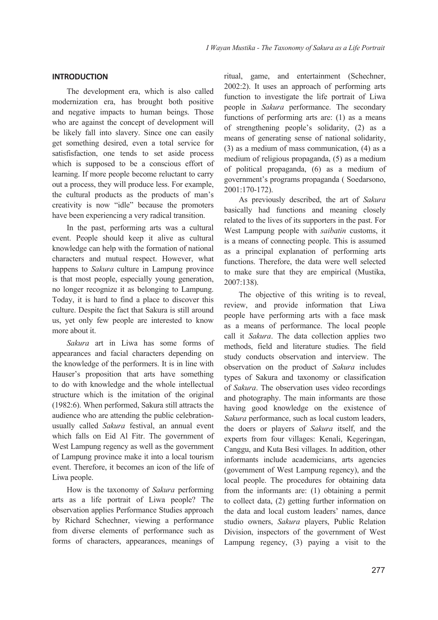## **INTRODUCTION**

The development era, which is also called modernization era, has brought both positive and negative impacts to human beings. Those who are against the concept of development will be likely fall into slavery. Since one can easily get something desired, even a total service for satisfisfaction, one tends to set aside process which is supposed to be a conscious effort of learning. If more people become reluctant to carry out a process, they will produce less. For example, the cultural products as the products of man's creativity is now "idle" because the promoters have been experiencing a very radical transition.

In the past, performing arts was a cultural event. People should keep it alive as cultural knowledge can help with the formation of national characters and mutual respect. However, what happens to *Sakura* culture in Lampung province is that most people, especially young generation, no longer recognize it as belonging to Lampung. Today, it is hard to find a place to discover this culture. Despite the fact that Sakura is still around us, yet only few people are interested to know more about it.

*Sakura* art in Liwa has some forms of appearances and facial characters depending on the knowledge of the performers. It is in line with Hauser's proposition that arts have something to do with knowledge and the whole intellectual structure which is the imitation of the original (1982:6). When performed, Sakura still attracts the audience who are attending the public celebrationusually called *Sakura* festival, an annual event which falls on Eid Al Fitr. The government of West Lampung regency as well as the government of Lampung province make it into a local tourism event. Therefore, it becomes an icon of the life of Liwa people.

How is the taxonomy of *Sakura* performing arts as a life portrait of Liwa people? The observation applies Performance Studies approach by Richard Schechner, viewing a performance from diverse elements of performance such as forms of characters, appearances, meanings of

ritual, game, and entertainment (Schechner, 2002:2). It uses an approach of performing arts function to investigate the life portrait of Liwa people in *Sakura* performance. The secondary functions of performing arts are: (1) as a means of strengthening people's solidarity, (2) as a means of generating sense of national solidarity, (3) as a medium of mass communication, (4) as a medium of religious propaganda, (5) as a medium of political propaganda, (6) as a medium of government's programs propaganda ( Soedarsono, 2001:170-172).

As previously described, the art of *Sakura* basically had functions and meaning closely related to the lives of its supporters in the past. For West Lampung people with *saibatin* customs, it is a means of connecting people. This is assumed as a principal explanation of performing arts functions. Therefore, the data were well selected to make sure that they are empirical (Mustika, 2007:138).

The objective of this writing is to reveal, review, and provide information that Liwa people have performing arts with a face mask as a means of performance. The local people call it *Sakura*. The data collection applies two methods, field and literature studies. The field study conducts observation and interview. The observation on the product of *Sakura* includes types of Sakura and taxonomy or classification of *Sakura*. The observation uses video recordings and photography. The main informants are those having good knowledge on the existence of *Sakura* performance, such as local custom leaders, the doers or players of *Sakura* itself, and the experts from four villages: Kenali, Kegeringan, Canggu, and Kuta Besi villages. In addition, other informants include academicians, arts agencies (government of West Lampung regency), and the local people. The procedures for obtaining data from the informants are: (1) obtaining a permit to collect data, (2) getting further information on the data and local custom leaders' names, dance studio owners, *Sakura* players, Public Relation Division, inspectors of the government of West Lampung regency, (3) paying a visit to the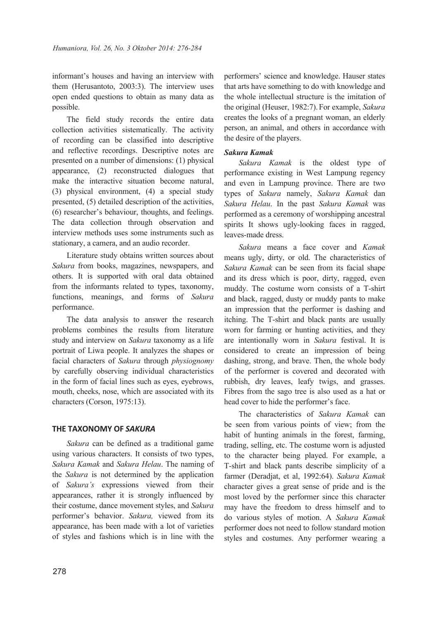informant's houses and having an interview with them (Herusantoto, 2003:3). The interview uses open ended questions to obtain as many data as possible.

The field study records the entire data collection activities sistematically. The activity of recording can be classified into descriptive and reflective recordings. Descriptive notes are presented on a number of dimensions: (1) physical appearance, (2) reconstructed dialogues that make the interactive situation become natural, (3) physical environment, (4) a special study presented, (5) detailed description of the activities, (6) researcher's behaviour, thoughts, and feelings. The data collection through observation and interview methods uses some instruments such as stationary, a camera, and an audio recorder.

Literature study obtains written sources about *Sakura* from books, magazines, newspapers, and others. It is supported with oral data obtained from the informants related to types, taxonomy, functions, meanings, and forms of *Sakura* performance.

The data analysis to answer the research problems combines the results from literature study and interview on *Sakura* taxonomy as a life portrait of Liwa people. It analyzes the shapes or facial characters of *Sakura* through *physiognomy*  by carefully observing individual characteristics in the form of facial lines such as eyes, eyebrows, mouth, cheeks, nose, which are associated with its characters (Corson, 1975:13).

## **THE TAXONOMY OF** *SAKURA*

*Sakura* can be defined as a traditional game using various characters. It consists of two types, *Sakura Kamak* and *Sakura Helau*. The naming of the *Sakura* is not determined by the application of *Sakura's* expressions viewed from their appearances, rather it is strongly influenced by their costume, dance movement styles, and *Sakura* performer's behavior. *Sakura,* viewed from its appearance, has been made with a lot of varieties of styles and fashions which is in line with the

performers' science and knowledge. Hauser states that arts have something to do with knowledge and the whole intellectual structure is the imitation of the original (Heuser, 1982:7).For example, *Sakura* creates the looks of a pregnant woman, an elderly person, an animal, and others in accordance with the desire of the players.

# *Sakura Kamak*

*Sakura Kamak* is the oldest type of performance existing in West Lampung regency and even in Lampung province. There are two types of *Sakura* namely, *Sakura Kamak* dan *Sakura Helau*. In the past *Sakura Kamak* was performed as a ceremony of worshipping ancestral spirits It shows ugly-looking faces in ragged, leaves-made dress.

*Sakura* means a face cover and *Kamak* means ugly, dirty, or old. The characteristics of *Sakura Kamak* can be seen from its facial shape and its dress which is poor, dirty, ragged, even muddy. The costume worn consists of a T-shirt and black, ragged, dusty or muddy pants to make an impression that the performer is dashing and itching. The T-shirt and black pants are usually worn for farming or hunting activities, and they are intentionally worn in *Sakura* festival. It is considered to create an impression of being dashing, strong, and brave. Then, the whole body of the performer is covered and decorated with rubbish, dry leaves, leafy twigs, and grasses. Fibres from the sago tree is also used as a hat or head cover to hide the performer's face.

The characteristics of *Sakura Kamak* can be seen from various points of view; from the habit of hunting animals in the forest, farming, trading, selling, etc. The costume worn is adjusted to the character being played. For example, a T-shirt and black pants describe simplicity of a farmer (Deradjat, et al, 1992:64). *Sakura Kamak*  character gives a great sense of pride and is the most loved by the performer since this character may have the freedom to dress himself and to do various styles of motion. A *Sakura Kamak*  performer does not need to follow standard motion styles and costumes. Any performer wearing a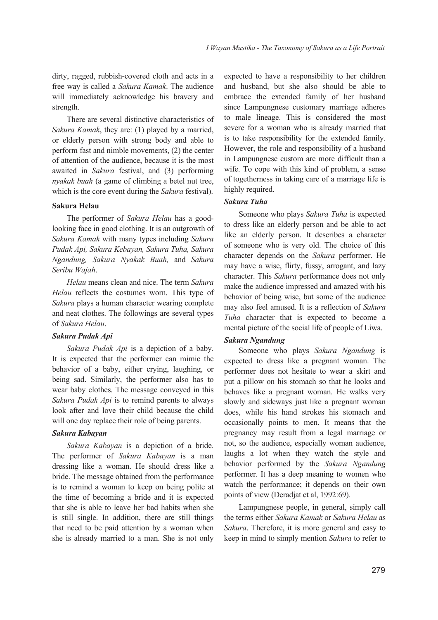dirty, ragged, rubbish-covered cloth and acts in a free way is called a *Sakura Kamak*. The audience will immediately acknowledge his bravery and strength.

There are several distinctive characteristics of *Sakura Kamak*, they are: (1) played by a married, or elderly person with strong body and able to perform fast and nimble movements, (2) the center of attention of the audience, because it is the most awaited in *Sakura* festival, and (3) performing *nyakak buah* (a game of climbing a betel nut tree, which is the core event during the *Sakura* festival).

#### **Sakura Helau**

The performer of *Sakura Helau* has a goodlooking face in good clothing. It is an outgrowth of *Sakura Kamak* with many types including *Sakura Pudak Api, Sakura Kebayan, Sakura Tuha, Sakura Ngandung, Sakura Nyakak Buah,* and *Sakura Seribu Wajah*.

*Helau* means clean and nice. The term *Sakura Helau* reflects the costumes worn. This type of *Sakura* plays a human character wearing complete and neat clothes. The followings are several types of *Sakura Helau*.

#### *Sakura Pudak Api*

*Sakura Pudak Api* is a depiction of a baby. It is expected that the performer can mimic the behavior of a baby, either crying, laughing, or being sad. Similarly, the performer also has to wear baby clothes. The message conveyed in this *Sakura Pudak Api* is to remind parents to always look after and love their child because the child will one day replace their role of being parents.

#### *Sakura Kabayan*

*Sakura Kabayan* is a depiction of a bride. The performer of *Sakura Kabayan* is a man dressing like a woman. He should dress like a bride. The message obtained from the performance is to remind a woman to keep on being polite at the time of becoming a bride and it is expected that she is able to leave her bad habits when she is still single. In addition, there are still things that need to be paid attention by a woman when she is already married to a man. She is not only

expected to have a responsibility to her children and husband, but she also should be able to embrace the extended family of her husband since Lampungnese customary marriage adheres to male lineage. This is considered the most severe for a woman who is already married that is to take responsibility for the extended family. However, the role and responsibility of a husband in Lampungnese custom are more difficult than a wife. To cope with this kind of problem, a sense of togetherness in taking care of a marriage life is highly required.

#### *Sakura Tuha*

Someone who plays *Sakura Tuha* is expected to dress like an elderly person and be able to act like an elderly person. It describes a character of someone who is very old. The choice of this character depends on the *Sakura* performer. He may have a wise, flirty, fussy, arrogant, and lazy character. This *Sakura* performance does not only make the audience impressed and amazed with his behavior of being wise, but some of the audience may also feel amused. It is a reflection of *Sakura Tuha* character that is expected to become a mental picture of the social life of people of Liwa.

#### *Sakura Ngandung*

Someone who plays *Sakura Ngandung* is expected to dress like a pregnant woman. The performer does not hesitate to wear a skirt and put a pillow on his stomach so that he looks and behaves like a pregnant woman. He walks very slowly and sideways just like a pregnant woman does, while his hand strokes his stomach and occasionally points to men. It means that the pregnancy may result from a legal marriage or not, so the audience, especially woman audience, laughs a lot when they watch the style and behavior performed by the *Sakura Ngandung* performer. It has a deep meaning to women who watch the performance; it depends on their own points of view (Deradjat et al, 1992:69).

Lampungnese people, in general, simply call the terms either *Sakura Kamak* or *Sakura Helau* as *Sakura*. Therefore, it is more general and easy to keep in mind to simply mention *Sakura* to refer to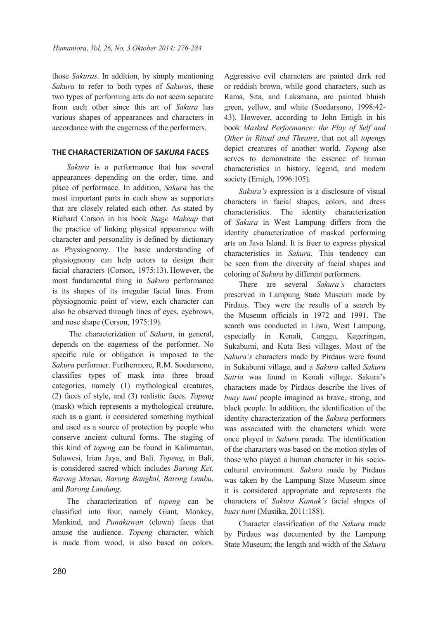those *Sakuras*. In addition, by simply mentioning *Sakura* to refer to both types of *Sakura*s, these two types of performing arts do not seem separate from each other since this art of *Sakura* has various shapes of appearances and characters in accordance with the eagerness of the performers.

## **THE CHARACTERIZATION OF** *SAKURA* **FACES**

*Sakura* is a performance that has several appearances depending on the order, time, and place of performace. In addition, *Sakura* has the most important parts in each show as supporters that are closely related each other. As stated by Richard Corson in his book *Stage Makeup* that the practice of linking physical appearance with character and personality is defined by dictionary as Physiognomy. The basic understanding of physiognomy can help actors to design their facial characters (Corson, 1975:13). However, the most fundamental thing in *Sakura* performance is its shapes of its irregular facial lines. From physiognomic point of view, each character can also be observed through lines of eyes, eyebrows, and nose shape (Corson, 1975:19).

The characterization of *Sakura*, in general, depends on the eagerness of the performer. No specific rule or obligation is imposed to the *Sakura* performer. Furthermore, R.M. Soedarsono, classifies types of mask into three broad categories, namely (1) mythological creatures, (2) faces of style, and (3) realistic faces. *Topeng* (mask) which represents a mythological creature, such as a giant, is considered something mythical and used as a source of protection by people who conserve ancient cultural forms. The staging of this kind of *topeng* can be found in Kalimantan, Sulawesi, Irian Jaya, and Bali. *Topeng*, in Bali, is considered sacred which includes *Barong Ket, Barong Macan, Barong Bangkal, Barong Lembu,* and *Barong Landung*.

The characterization of *topeng* can be classified into four, namely Giant, Monkey, Mankind, and *Punakawan* (clown) faces that amuse the audience. *Topeng* character, which is made from wood, is also based on colors.

Aggressive evil characters are painted dark red or reddish brown, while good characters, such as Rama, Sita, and Laksmana, are painted bluish green, yellow, and white (Soedarsono, 1998:42- 43). However, according to John Emigh in his book *Masked Performance: the Play of Self and Other in Ritual and Theatre*, that not all *topengs* depict creatures of another world. *Topeng* also serves to demonstrate the essence of human characteristics in history, legend, and modern society (Emigh, 1996:105).

*Sakura's* expression is a disclosure of visual characters in facial shapes, colors, and dress characteristics. The identity characterization of *Sakura* in West Lampung differs from the identity characterization of masked performing arts on Java Island. It is freer to express physical characteristics in *Sakura*. This tendency can be seen from the diversity of facial shapes and coloring of *Sakura* by different performers.

There are several *Sakura's* characters preserved in Lampung State Museum made by Pirdaus. They were the results of a search by the Museum officials in 1972 and 1991. The search was conducted in Liwa, West Lampung, especially in Kenali, Canggu, Kegeringan, Sukabumi, and Kuta Besi villages. Most of the *Sakura's* characters made by Pirdaus were found in Sukabumi village, and a *Sakura* called *Sakura Satria* was found in Kenali village. Sakura's characters made by Pirdaus describe the lives of *buay tumi* people imagined as brave, strong, and black people. In addition, the identification of the identity characterization of the *Sakura* performers was associated with the characters which were once played in *Sakura* parade. The identification of the characters was based on the motion styles of those who played a human character in his sociocultural environment. *Sakura* made by Pirdaus was taken by the Lampung State Museum since it is considered appropriate and represents the characters of *Sakura Kamak's* facial shapes of *buay tumi* (Mustika, 2011:188).

Character classification of the *Sakura* made by Pirdaus was documented by the Lampung State Museum; the length and width of the *Sakura*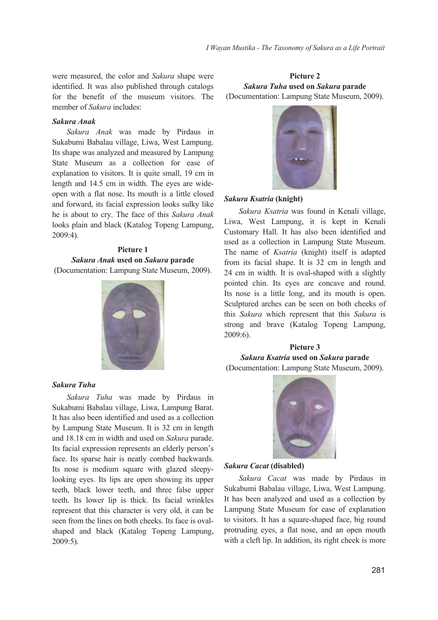were measured, the color and *Sakura* shape were identified. It was also published through catalogs for the benefit of the museum visitors. The member of *Sakura* includes:

### *Sakura Anak*

*Sakura Anak* was made by Pirdaus in Sukabumi Babalau village, Liwa, West Lampung. Its shape was analyzed and measured by Lampung State Museum as a collection for ease of explanation to visitors. It is quite small, 19 cm in length and 14.5 cm in width. The eyes are wideopen with a flat nose. Its mouth is a little closed and forward, its facial expression looks sulky like he is about to cry. The face of this *Sakura Anak* looks plain and black (Katalog Topeng Lampung, 2009:4).

## **Picture 1** *Sakura Anak* **used on** *Sakura* **parade** (Documentation: Lampung State Museum, 2009).



### *Sakura Tuha*

*Sakura Tuha* was made by Pirdaus in Sukabumi Babalau village, Liwa, Lampung Barat. It has also been identified and used as a collection by Lampung State Museum. It is 32 cm in length and 18.18 cm in width and used on *Sakura* parade. Its facial expression represents an elderly person's face. Its sparse hair is neatly combed backwards. Its nose is medium square with glazed sleepylooking eyes. Its lips are open showing its upper teeth, black lower teeth, and three false upper teeth. Its lower lip is thick. Its facial wrinkles represent that this character is very old, it can be seen from the lines on both cheeks. Its face is ovalshaped and black (Katalog Topeng Lampung, 2009:5).

# **Picture 2** *Sakura Tuha* **used on** *Sakura* **parade** (Documentation: Lampung State Museum, 2009).



## *Sakura Ksatria* **(knight)**

*Sakura Ksatria* was found in Kenali village, Liwa, West Lampung, it is kept in Kenali Customary Hall. It has also been identified and used as a collection in Lampung State Museum. The name of *Ksatria* (knight) itself is adapted from its facial shape. It is 32 cm in length and 24 cm in width. It is oval-shaped with a slightly pointed chin. Its eyes are concave and round. Its nose is a little long, and its mouth is open. Sculptured arches can be seen on both cheeks of this *Sakura* which represent that this *Sakura* is strong and brave (Katalog Topeng Lampung, 2009:6).

# **Picture 3**

*Sakura Ksatria* **used on** *Sakura* **parade** (Documentation: Lampung State Museum, 2009).



## *Sakura Cacat* **(disabled)**

*Sakura Cacat* was made by Pirdaus in Sukabumi Babalau village, Liwa, West Lampung. It has been analyzed and used as a collection by Lampung State Museum for ease of explanation to visitors. It has a square-shaped face, big round protruding eyes, a flat nose, and an open mouth with a cleft lip. In addition, its right cheek is more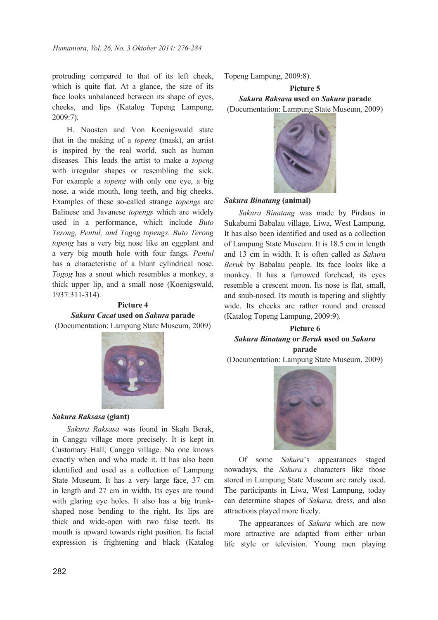protruding compared to that of its left cheek, which is quite flat. At a glance, the size of its face looks unbalanced between its shape of eyes, cheeks, and lips (Katalog Topeng Lampung, 2009:7).

H. Noosten and Von Koenigswald state that in the making of a *topeng* (mask), an artist is inspired by the real world, such as human diseases. This leads the artist to make a *topeng* with irregular shapes or resembling the sick. For example a *topeng* with only one eye, a big nose, a wide mouth, long teeth, and big cheeks. Examples of these so-called strange *topengs* are Balinese and Javanese *topengs* which are widely used in a performance, which include *Buto Terong, Pentul, and Togog topengs*. *Buto Terong topeng* has a very big nose like an eggplant and a very big mouth hole with four fangs. *Pentul* has a characteristic of a blunt cylindrical nose. *Togog* has a snout which resembles a monkey, a thick upper lip, and a small nose (Koenigswald, 1937:311-314).

## **Picture 4**

*Sakura Cacat* **used on** *Sakura* **parade** (Documentation: Lampung State Museum, 2009)



*Sakura Raksasa* **(giant)** 

*Sakura Raksasa* was found in Skala Berak, in Canggu village more precisely. It is kept in Customary Hall, Canggu village. No one knows exactly when and who made it. It has also been identified and used as a collection of Lampung State Museum. It has a very large face, 37 cm in length and 27 cm in width. Its eyes are round with glaring eye holes. It also has a big trunkshaped nose bending to the right. Its lips are thick and wide-open with two false teeth. Its mouth is upward towards right position. Its facial expression is frightening and black (Katalog

Topeng Lampung, 2009:8).

## **Picture 5**

*Sakura Raksasa* **used on** *Sakura* **parade**

(Documentation: Lampung State Museum, 2009)



#### *Sakura Binatang* **(animal)**

*Sakura Binatang* was made by Pirdaus in Sukabumi Babalau village, Liwa, West Lampung. It has also been identified and used as a collection of Lampung State Museum. It is 18.5 cm in length and 13 cm in width. It is often called as *Sakura Beruk* by Babalau people. Its face looks like a monkey. It has a furrowed forehead, its eyes resemble a crescent moon. Its nose is flat, small, and snub-nosed. Its mouth is tapering and slightly wide. Its cheeks are rather round and creased (Katalog Topeng Lampung, 2009:9).

## **Picture 6** *Sakura Binatang* **or** *Beruk* **used on** *Sakura* **parade**

(Documentation: Lampung State Museum, 2009)



Of some *Sakura*'s appearances staged nowadays, the *Sakura's* characters like those stored in Lampung State Museum are rarely used. The participants in Liwa, West Lampung, today can determine shapes of *Sakura*, dress, and also attractions played more freely.

The appearances of *Sakura* which are now more attractive are adapted from either urban life style or television. Young men playing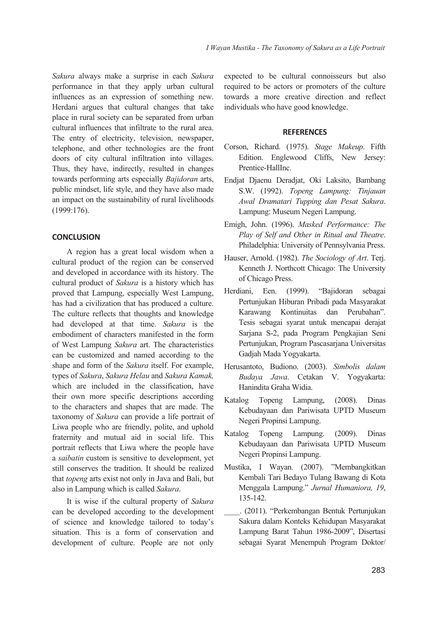*Sakura* always make a surprise in each *Sakura* performance in that they apply urban cultural influences as an expression of something new. Herdani argues that cultural changes that take place in rural society can be separated from urban cultural influences that infiltrate to the rural area. The entry of electricity, television, newspaper, telephone, and other technologies are the front doors of city cultural infiltration into villages. Thus, they have, indirectly, resulted in changes towards performing arts especially *Bajidoran* arts, public mindset, life style, and they have also made an impact on the sustainability of rural livelihoods (1999:176).

#### **CONCLUSION**

A region has a great local wisdom when a cultural product of the region can be conserved and developed in accordance with its history. The cultural product of *Sakura* is a history which has proved that Lampung, especially West Lampung, has had a civilization that has produced a culture. The culture reflects that thoughts and knowledge had developed at that time. *Sakura* is the embodiment of characters manifested in the form of West Lampung *Sakura* art. The characteristics can be customized and named according to the shape and form of the *Sakura* itself. For example, types of *Sakura*, *Sakura Helau* and *Sakura Kamak,* which are included in the classification, have their own more specific descriptions according to the characters and shapes that are made. The taxonomy of *Sakura* can provide a life portrait of Liwa people who are friendly, polite, and uphold fraternity and mutual aid in social life. This portrait reflects that Liwa where the people have a *saibatin* custom is sensitive to development, yet still conserves the tradition. It should be realized that *topeng* arts exist not only in Java and Bali, but also in Lampung which is called *Sakura*.

It is wise if the cultural property of *Sakura* can be developed according to the development of science and knowledge tailored to today's situation. This is a form of conservation and development of culture. People are not only

expected to be cultural connoisseurs but also required to be actors or promoters of the culture towards a more creative direction and reflect individuals who have good knowledge.

#### **REFERENCES**

- Corson, Richard. (1975). *Stage Makeup*. Fifth Edition. Englewood Cliffs, New Jersey: Prentice-HallInc.
- Endjat Djaenu Deradjat, Oki Laksito, Bambang S.W. (1992). *Topeng Lampung: Tinjauan Awal Dramatari Tupping dan Pesat Sakura*. Lampung: Museum Negeri Lampung.
- Emigh, John. (1996). *Masked Performance: The Play of Self and Other in Ritual and Theatre*. Philadelphia: University of Pennsylvania Press.
- Hauser, Arnold. (1982). *The Sociology of Art*. Terj. Kenneth J. Northcott Chicago: The University of Chicago Press.
- Herdiani, Een. (1999). "Bajidoran sebagai Pertunjukan Hiburan Pribadi pada Masyarakat Karawang Kontinuitas dan Perubahan". Tesis sebagai syarat untuk mencapai derajat Sarjana S-2, pada Program Pengkajian Seni Pertunjukan, Program Pascasarjana Universitas Gadjah Mada Yogyakarta.
- Herusantoto, Budiono. (2003). *Simbolis dalam Budaya Jawa*. Cetakan V. Yogyakarta: Hanindita Graha Widia.
- Katalog Topeng Lampung, (2008). Dinas Kebudayaan dan Pariwisata UPTD Museum Negeri Propinsi Lampung.
- Katalog Topeng Lampung. (2009). Dinas Kebudayaan dan Pariwisata UPTD Museum Negeri Propinsi Lampung.
- Mustika, I Wayan. (2007). "Membangkitkan Kembali Tari Bedayo Tulang Bawang di Kota Menggala Lampung." *Jurnal Humaniora, 19*, 135-142.
- \_\_\_\_. (2011). "Perkembangan Bentuk Pertunjukan Sakura dalam Konteks Kehidupan Masyarakat Lampung Barat Tahun 1986-2009", Disertasi sebagai Syarat Menempuh Program Doktor/